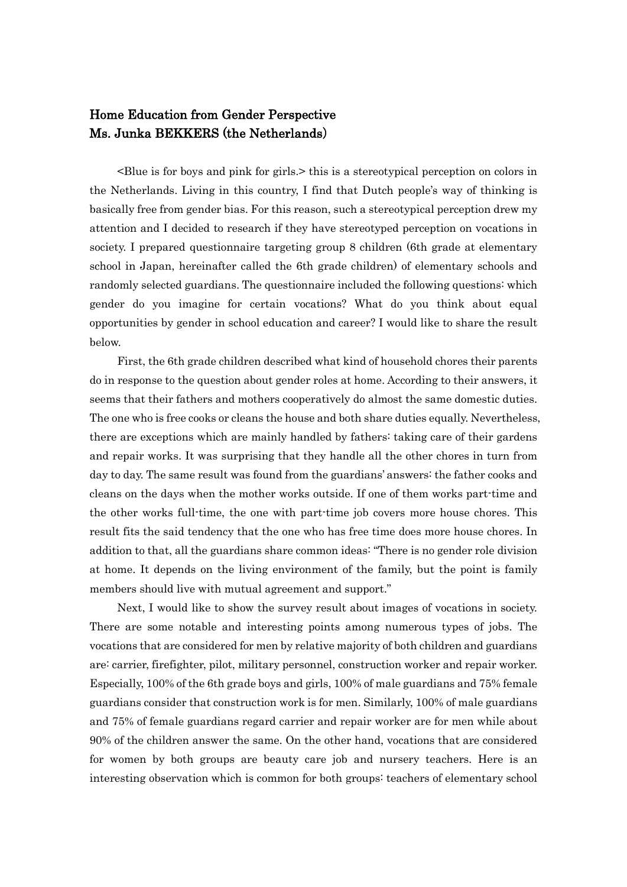## Home Education from Gender Perspective Ms. Junka BEKKERS (the Netherlands)

<Blue is for boys and pink for girls.> this is a stereotypical perception on colors in the Netherlands. Living in this country, I find that Dutch people's way of thinking is basically free from gender bias. For this reason, such a stereotypical perception drew my attention and I decided to research if they have stereotyped perception on vocations in society. I prepared questionnaire targeting group 8 children (6th grade at elementary school in Japan, hereinafter called the 6th grade children) of elementary schools and randomly selected guardians. The questionnaire included the following questions: which gender do you imagine for certain vocations? What do you think about equal opportunities by gender in school education and career? I would like to share the result below.

First, the 6th grade children described what kind of household chores their parents do in response to the question about gender roles at home. According to their answers, it seems that their fathers and mothers cooperatively do almost the same domestic duties. The one who is free cooks or cleans the house and both share duties equally. Nevertheless, there are exceptions which are mainly handled by fathers: taking care of their gardens and repair works. It was surprising that they handle all the other chores in turn from day to day. The same result was found from the guardians' answers: the father cooks and cleans on the days when the mother works outside. If one of them works part-time and the other works full-time, the one with part-time job covers more house chores. This result fits the said tendency that the one who has free time does more house chores. In addition to that, all the guardians share common ideas: "There is no gender role division at home. It depends on the living environment of the family, but the point is family members should live with mutual agreement and support."

Next, I would like to show the survey result about images of vocations in society. There are some notable and interesting points among numerous types of jobs. The vocations that are considered for men by relative majority of both children and guardians are: carrier, firefighter, pilot, military personnel, construction worker and repair worker. Especially, 100% of the 6th grade boys and girls, 100% of male guardians and 75% female guardians consider that construction work is for men. Similarly, 100% of male guardians and 75% of female guardians regard carrier and repair worker are for men while about 90% of the children answer the same. On the other hand, vocations that are considered for women by both groups are beauty care job and nursery teachers. Here is an interesting observation which is common for both groups: teachers of elementary school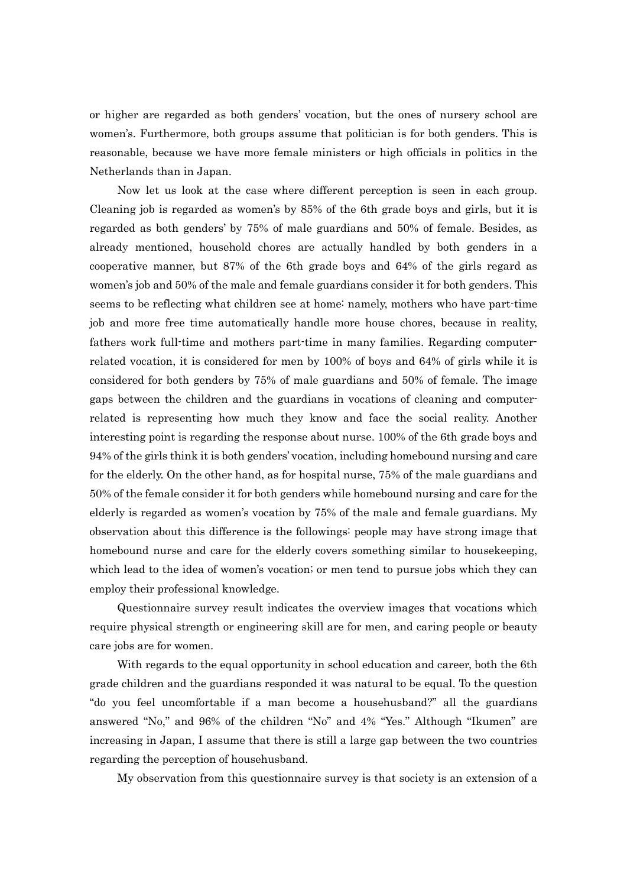or higher are regarded as both genders' vocation, but the ones of nursery school are women's. Furthermore, both groups assume that politician is for both genders. This is reasonable, because we have more female ministers or high officials in politics in the Netherlands than in Japan.

Now let us look at the case where different perception is seen in each group. Cleaning job is regarded as women's by 85% of the 6th grade boys and girls, but it is regarded as both genders' by 75% of male guardians and 50% of female. Besides, as already mentioned, household chores are actually handled by both genders in a cooperative manner, but 87% of the 6th grade boys and 64% of the girls regard as women's job and 50% of the male and female guardians consider it for both genders. This seems to be reflecting what children see at home: namely, mothers who have part-time job and more free time automatically handle more house chores, because in reality, fathers work full-time and mothers part-time in many families. Regarding computerrelated vocation, it is considered for men by 100% of boys and 64% of girls while it is considered for both genders by 75% of male guardians and 50% of female. The image gaps between the children and the guardians in vocations of cleaning and computerrelated is representing how much they know and face the social reality. Another interesting point is regarding the response about nurse. 100% of the 6th grade boys and 94% of the girls think it is both genders' vocation, including homebound nursing and care for the elderly. On the other hand, as for hospital nurse, 75% of the male guardians and 50% of the female consider it for both genders while homebound nursing and care for the elderly is regarded as women's vocation by 75% of the male and female guardians. My observation about this difference is the followings: people may have strong image that homebound nurse and care for the elderly covers something similar to housekeeping, which lead to the idea of women's vocation; or men tend to pursue jobs which they can employ their professional knowledge.

Questionnaire survey result indicates the overview images that vocations which require physical strength or engineering skill are for men, and caring people or beauty care jobs are for women.

With regards to the equal opportunity in school education and career, both the 6th grade children and the guardians responded it was natural to be equal. To the question "do you feel uncomfortable if a man become a househusband?" all the guardians answered "No," and 96% of the children "No" and 4% "Yes." Although "Ikumen" are increasing in Japan, I assume that there is still a large gap between the two countries regarding the perception of househusband.

My observation from this questionnaire survey is that society is an extension of a